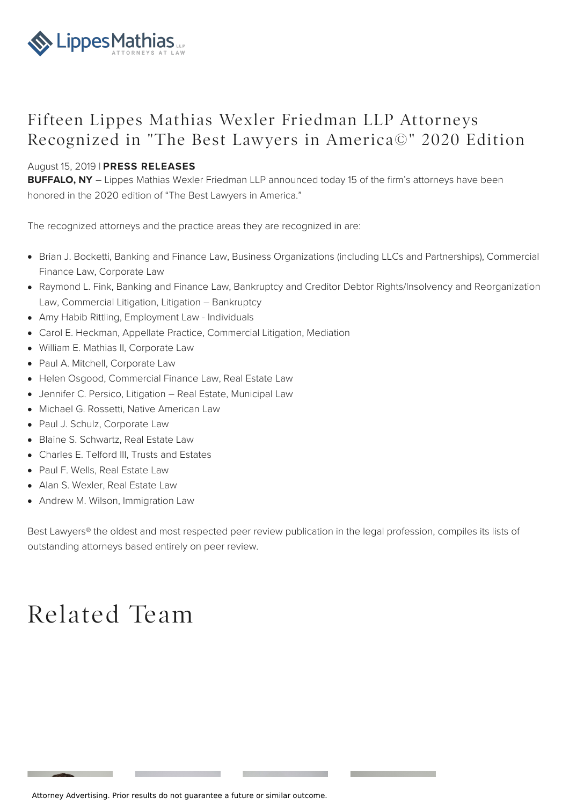

## Fifteen Lippes Mathias Wexler Friedman LLP Attorneys Recognized in "The Best Lawyers in America©" 2020 Edition

## August 15, 2019 | **PRESS RELEASES**

**BUFFALO, NY** – Lippes Mathias Wexler Friedman LLP announced today 15 of the firm's attorneys have been honored in the 2020 edition of "The Best Lawyers in America."

The recognized attorneys and the practice areas they are recognized in are:

- Brian J. Bocketti, Banking and Finance Law, Business Organizations (including LLCs and Partnerships), Commercial Finance Law, Corporate Law
- Raymond L. Fink, Banking and Finance Law, Bankruptcy and Creditor Debtor Rights/Insolvency and Reorganization Law, Commercial Litigation, Litigation – Bankruptcy
- Amy Habib Rittling, Employment Law Individuals
- Carol E. Heckman, Appellate Practice, Commercial Litigation, Mediation
- William E. Mathias II, Corporate Law
- Paul A. Mitchell, Corporate Law
- Helen Osgood, Commercial Finance Law, Real Estate Law
- Jennifer C. Persico, Litigation Real Estate, Municipal Law
- Michael G. Rossetti, Native American Law
- Paul J. Schulz, Corporate Law
- Blaine S. Schwartz, Real Estate Law
- Charles E. Telford III, Trusts and Estates
- Paul F. Wells, Real Estate Law
- Alan S. Wexler, Real Estate Law
- Andrew M. Wilson, Immigration Law

Best Lawyers® the oldest and most respected peer review publication in the legal profession, compiles its lists of outstanding attorneys based entirely on peer review.

## Related Team

Attorney Advertising. Prior results do not guarantee a future or similar outcome.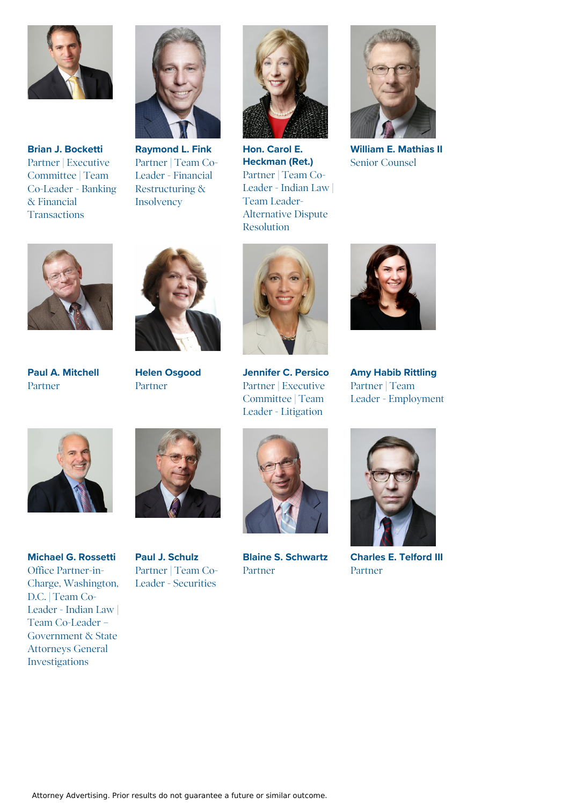

**Brian J. Bocketti** Partner | Executive Committee | Team Co-Leader - Banking & Financial **[Transactions](file:///team/brian-j-bocketti-20)** 



**Raymond L. Fink** Partner | Team Co-Leader - Financial [Restructuring](file:///team/raymond-l-fink-38) & Insolvency



**Hon. Carol E. Heckman (Ret.)** Partner | Team Co-Leader - Indian Law | Team Leader-[Alternative](file:///team/hon-carol-e-heckman-ret-46) Dispute Resolution



**William E. [Mathias](file:///team/william-e-mathias-ii-59) II** Senior Counsel



**Paul A. [Mitchell](file:///team/paul-a-mitchell-61)** Partner



**Helen [Osgood](file:///team/helen-osgood-95)** Partner



**Jennifer C. Persico** Partner | Executive [Committee](file:///team/jennifer-c-persico-68) | Team Leader - Litigation



**Amy Habib Rittling** Partner | Team Leader - [Employment](file:///team/amy-habib-rittling-45)



**Michael G. Rossetti** Office Partner-in-Charge, Washington, D.C. | Team Co-Leader - Indian Law | Team Co-Leader – Government & State Attorneys General [Investigations](file:///team/michael-g-rossetti-105)





**Blaine S. [Schwartz](file:///team/blaine-s-schwartz-75)** Partner



**[Charles](file:///team/charles-e-telford-iii-81) E. Telford III** Partner